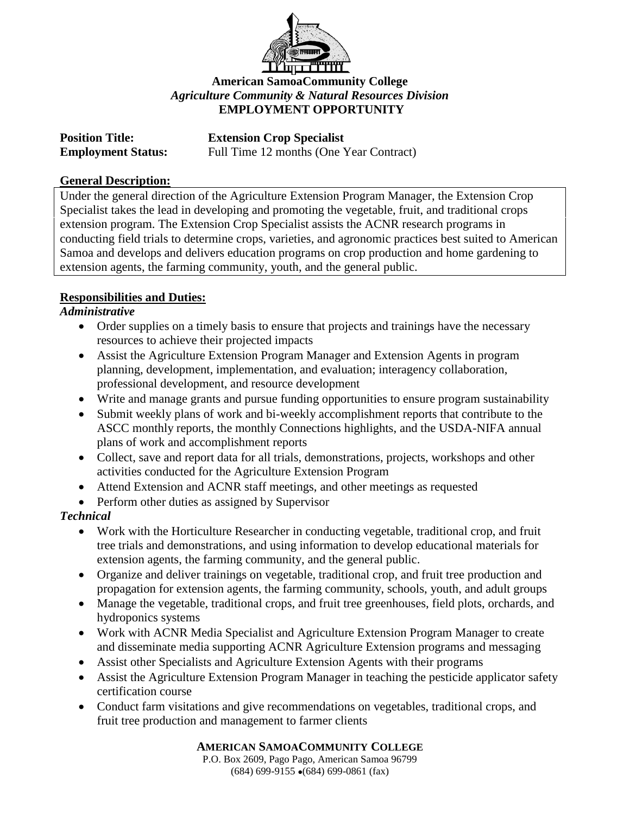

## **American SamoaCommunity College** *Agriculture Community & Natural Resources Division* **EMPLOYMENT OPPORTUNITY**

| <b>Position Title:</b>    |  |
|---------------------------|--|
| <b>Employment Status:</b> |  |

**Extension Crop Specialist** Full Time 12 months (One Year Contract)

### **General Description:**

Under the general direction of the Agriculture Extension Program Manager, the Extension Crop Specialist takes the lead in developing and promoting the vegetable, fruit, and traditional crops extension program. The Extension Crop Specialist assists the ACNR research programs in conducting field trials to determine crops, varieties, and agronomic practices best suited to American Samoa and develops and delivers education programs on crop production and home gardening to extension agents, the farming community, youth, and the general public.

### **Responsibilities and Duties:**

## *Administrative*

- Order supplies on a timely basis to ensure that projects and trainings have the necessary resources to achieve their projected impacts
- Assist the Agriculture Extension Program Manager and Extension Agents in program planning, development, implementation, and evaluation; interagency collaboration, professional development, and resource development
- Write and manage grants and pursue funding opportunities to ensure program sustainability
- Submit weekly plans of work and bi-weekly accomplishment reports that contribute to the ASCC monthly reports, the monthly Connections highlights, and the USDA-NIFA annual plans of work and accomplishment reports
- Collect, save and report data for all trials, demonstrations, projects, workshops and other activities conducted for the Agriculture Extension Program
- Attend Extension and ACNR staff meetings, and other meetings as requested
- Perform other duties as assigned by Supervisor

# *Technical*

- Work with the Horticulture Researcher in conducting vegetable, traditional crop, and fruit tree trials and demonstrations, and using information to develop educational materials for extension agents, the farming community, and the general public.
- Organize and deliver trainings on vegetable, traditional crop, and fruit tree production and propagation for extension agents, the farming community, schools, youth, and adult groups
- Manage the vegetable, traditional crops, and fruit tree greenhouses, field plots, orchards, and hydroponics systems
- Work with ACNR Media Specialist and Agriculture Extension Program Manager to create and disseminate media supporting ACNR Agriculture Extension programs and messaging
- Assist other Specialists and Agriculture Extension Agents with their programs
- Assist the Agriculture Extension Program Manager in teaching the pesticide applicator safety certification course
- Conduct farm visitations and give recommendations on vegetables, traditional crops, and fruit tree production and management to farmer clients

### **AMERICAN SAMOACOMMUNITY COLLEGE**

P.O. Box 2609, Pago Pago, American Samoa 96799  $(684)$  699-9155  $\bullet$  (684) 699-0861 (fax)